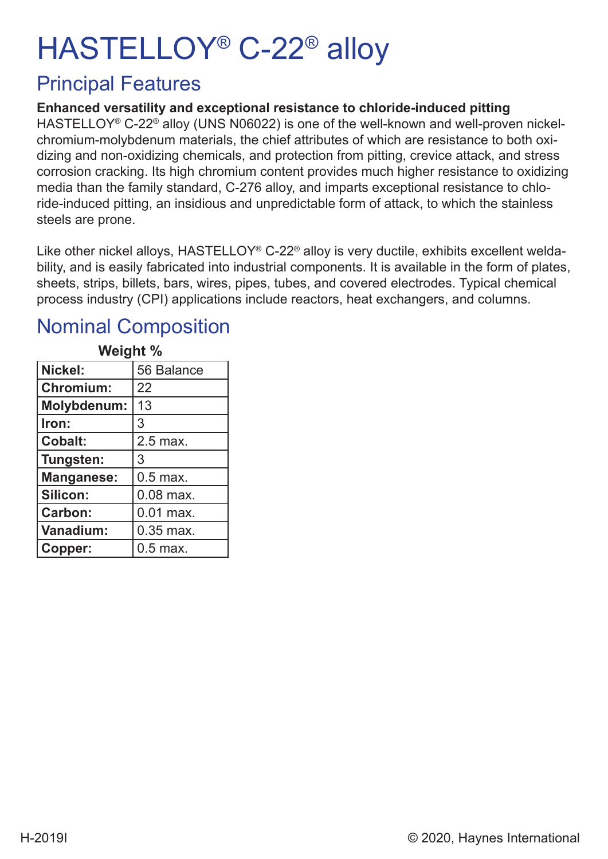# HASTELLOY® C-22® alloy

### Principal Features

#### **Enhanced versatility and exceptional resistance to chloride-induced pitting**

HASTELLOY<sup>®</sup> C-22<sup>®</sup> alloy (UNS N06022) is one of the well-known and well-proven nickelchromium-molybdenum materials, the chief attributes of which are resistance to both oxidizing and non-oxidizing chemicals, and protection from pitting, crevice attack, and stress corrosion cracking. Its high chromium content provides much higher resistance to oxidizing media than the family standard, C-276 alloy, and imparts exceptional resistance to chloride-induced pitting, an insidious and unpredictable form of attack, to which the stainless steels are prone.

Like other nickel alloys, HASTELLOY<sup>®</sup> C-22<sup>®</sup> alloy is very ductile, exhibits excellent weldability, and is easily fabricated into industrial components. It is available in the form of plates, sheets, strips, billets, bars, wires, pipes, tubes, and covered electrodes. Typical chemical process industry (CPI) applications include reactors, heat exchangers, and columns.

#### Nominal Composition

| <b>vvelgnt</b> %   |             |  |  |  |  |  |  |  |
|--------------------|-------------|--|--|--|--|--|--|--|
| Nickel:            | 56 Balance  |  |  |  |  |  |  |  |
| <b>Chromium:</b>   | 22          |  |  |  |  |  |  |  |
| <b>Molybdenum:</b> | 13          |  |  |  |  |  |  |  |
| Iron:              | 3           |  |  |  |  |  |  |  |
| <b>Cobalt:</b>     | 2.5 max.    |  |  |  |  |  |  |  |
| Tungsten:          | 3           |  |  |  |  |  |  |  |
| <b>Manganese:</b>  | $0.5$ max.  |  |  |  |  |  |  |  |
| <b>Silicon:</b>    | $0.08$ max. |  |  |  |  |  |  |  |
| <b>Carbon:</b>     | $0.01$ max. |  |  |  |  |  |  |  |
| Vanadium:          | 0.35 max.   |  |  |  |  |  |  |  |
| Copper:            | $0.5$ max.  |  |  |  |  |  |  |  |

#### **Weight & Book Wal**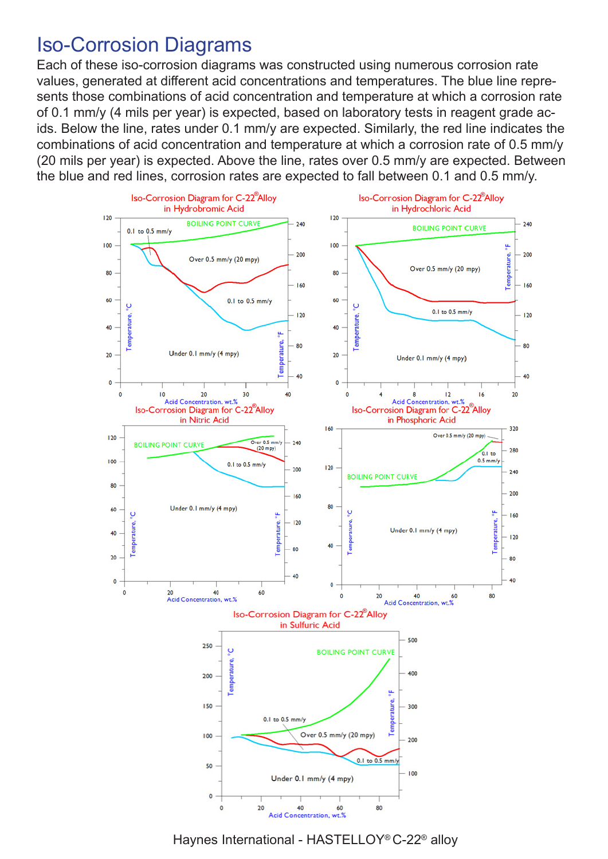#### Iso-Corrosion Diagrams

Each of these iso-corrosion diagrams was constructed using numerous corrosion rate values, generated at different acid concentrations and temperatures. The blue line represents those combinations of acid concentration and temperature at which a corrosion rate of 0.1 mm/y (4 mils per year) is expected, based on laboratory tests in reagent grade acids. Below the line, rates under 0.1 mm/y are expected. Similarly, the red line indicates the combinations of acid concentration and temperature at which a corrosion rate of 0.5 mm/y (20 mils per year) is expected. Above the line, rates over 0.5 mm/y are expected. Between the blue and red lines, corrosion rates are expected to fall between 0.1 and 0.5 mm/y.



Haynes International - HASTELLOY® C-22® alloy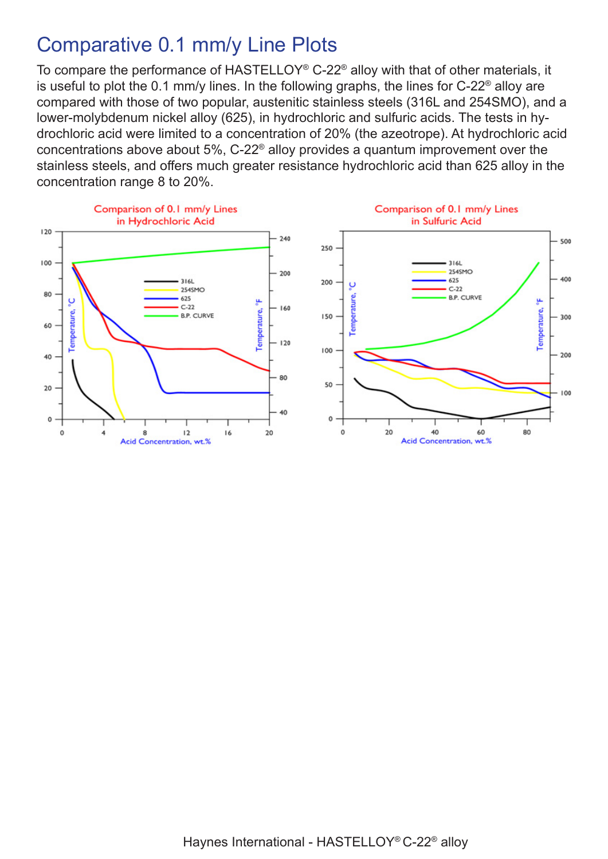## Comparative 0.1 mm/y Line Plots

To compare the performance of HASTELLOY® C-22® alloy with that of other materials, it is useful to plot the 0.1 mm/y lines. In the following graphs, the lines for  $C$ -22<sup>®</sup> alloy are compared with those of two popular, austenitic stainless steels (316L and 254SMO), and a lower-molybdenum nickel alloy (625), in hydrochloric and sulfuric acids. The tests in hydrochloric acid were limited to a concentration of 20% (the azeotrope). At hydrochloric acid concentrations above about 5%, C-22® alloy provides a quantum improvement over the stainless steels, and offers much greater resistance hydrochloric acid than 625 alloy in the concentration range 8 to 20%.





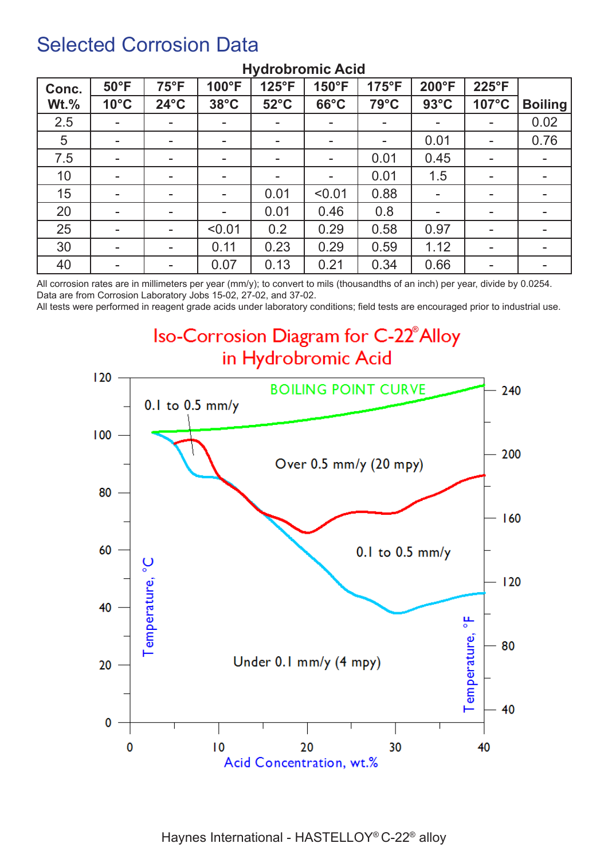### Selected Corrosion Data

| Conc.   | $50^{\circ}$ F | $75^{\circ}F$            | 100°F          | 125°F                    | 150°F                    | $175^{\circ}F$ | 200°F                    | 225°F                    |                |
|---------|----------------|--------------------------|----------------|--------------------------|--------------------------|----------------|--------------------------|--------------------------|----------------|
| $Wt.\%$ | $10^{\circ}$ C | $24^{\circ}$ C           | $38^{\circ}$ C | $52^{\circ}$ C           | $66^{\circ}$ C           | $79^{\circ}$ C | $93^{\circ}$ C           | 107°C                    | <b>Boiling</b> |
| 2.5     | $\sim$         | $\overline{\phantom{a}}$ | ۰.             | $\overline{\phantom{a}}$ | $\overline{\phantom{a}}$ | $\blacksquare$ | $\overline{\phantom{a}}$ | ۰.                       | 0.02           |
| 5       | $\blacksquare$ | $\overline{\phantom{a}}$ | ۰.             | $\blacksquare$           | -                        | $\,$           | 0.01                     | ۰                        | 0.76           |
| 7.5     | -              | $\overline{\phantom{a}}$ | ۰.             | $\overline{\phantom{a}}$ | -                        | 0.01           | 0.45                     | $\overline{\phantom{a}}$ |                |
| 10      | $\blacksquare$ | $\overline{\phantom{a}}$ | -              | $\overline{\phantom{a}}$ | $\overline{\phantom{a}}$ | 0.01           | 1.5                      | ۰                        |                |
| 15      | $\blacksquare$ | $\overline{\phantom{a}}$ | ۰.             | 0.01                     | < 0.01                   | 0.88           |                          | ۰.                       |                |
| 20      | $\blacksquare$ | $\overline{\phantom{a}}$ | -              | 0.01                     | 0.46                     | 0.8            | ۰.                       | -                        |                |
| 25      | $\blacksquare$ | $\overline{\phantom{a}}$ | < 0.01         | 0.2                      | 0.29                     | 0.58           | 0.97                     | ۰                        |                |
| 30      | $\sim$         | $\sim$                   | 0.11           | 0.23                     | 0.29                     | 0.59           | 1.12                     | ۰                        | $\blacksquare$ |
| 40      | ٠              | $\,$                     | 0.07           | 0.13                     | 0.21                     | 0.34           | 0.66                     | ۰.                       |                |

#### **Hydrobromic Acid**

All corrosion rates are in millimeters per year (mm/y); to convert to mils (thousandths of an inch) per year, divide by 0.0254. Data are from Corrosion Laboratory Jobs 15-02, 27-02, and 37-02.

All tests were performed in reagent grade acids under laboratory conditions; field tests are encouraged prior to industrial use.

**Iso-Corrosion Diagram for C-22<sup>®</sup> Alloy** in Hydrobromic Acid

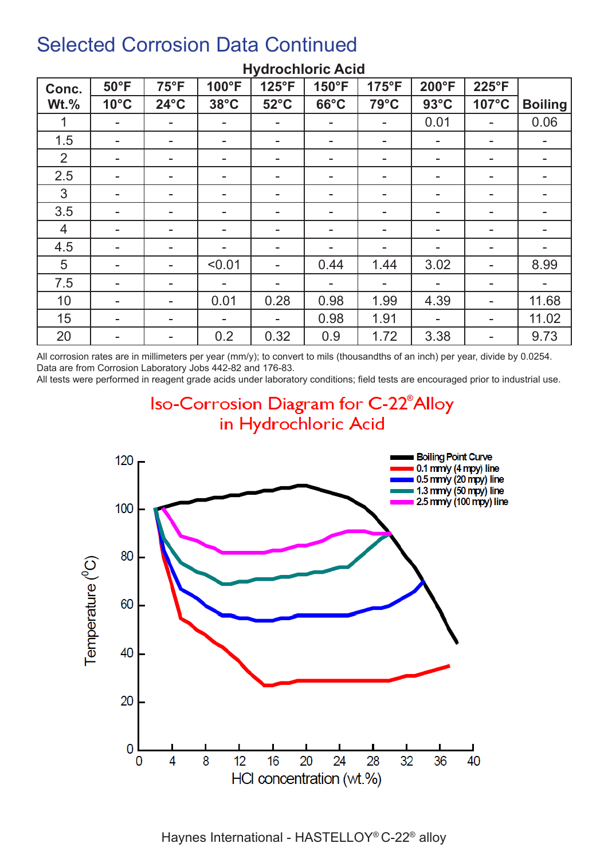| Conc.          | $50^{\circ}$ F | $75^{\circ}F$            | 100°F                    | 125°F          | 150°F                    | 175°F                    | 200°F          | 225°F          |                |
|----------------|----------------|--------------------------|--------------------------|----------------|--------------------------|--------------------------|----------------|----------------|----------------|
| $Wt.\%$        | $10^{\circ}$ C | $24^{\circ}$ C           | $38^{\circ}$ C           | $52^{\circ}$ C | $66^{\circ}$ C           | 79°C                     | $93^{\circ}$ C | 107°C          | <b>Boiling</b> |
|                | $\blacksquare$ | ۰.                       | $\overline{\phantom{a}}$ |                | ۰.                       | $\blacksquare$           | 0.01           | ۰.             | 0.06           |
| 1.5            | $\blacksquare$ | $\overline{\phantom{a}}$ | ۰.                       |                | ۰                        | $\blacksquare$           | ۰              | ۰.             |                |
| $\overline{2}$ | -              |                          | -                        |                | $\overline{\phantom{0}}$ | $\blacksquare$           |                | ۰.             |                |
| 2.5            | $\blacksquare$ | $\overline{\phantom{a}}$ |                          |                | -                        | $\blacksquare$           |                | ۰.             |                |
| 3              | Ξ.             | $\overline{\phantom{a}}$ | $\overline{\phantom{a}}$ |                | $\overline{\phantom{0}}$ | $\,$                     |                | ۰              |                |
| 3.5            | -              | $\overline{\phantom{a}}$ | ۰.                       |                | -                        | $\blacksquare$           | -              | ۰.             |                |
| $\overline{4}$ | -              | ۰                        | $\overline{\phantom{a}}$ |                | ۰                        | $\overline{\phantom{a}}$ | ۰              | ۰              |                |
| 4.5            | ۰              | $\overline{\phantom{a}}$ | $\overline{\phantom{a}}$ |                |                          | $\blacksquare$           | -              | -              |                |
| 5              | $\blacksquare$ |                          | < 0.01                   |                | 0.44                     | 1.44                     | 3.02           | ۰              | 8.99           |
| 7.5            | ۰              |                          | $\overline{\phantom{a}}$ |                |                          |                          |                | ۰              |                |
| 10             | $\blacksquare$ |                          | 0.01                     | 0.28           | 0.98                     | 1.99                     | 4.39           | ۰              | 11.68          |
| 15             | Ξ.             | $\overline{\phantom{a}}$ | $\overline{\phantom{a}}$ |                | 0.98                     | 1.91                     |                | $\blacksquare$ | 11.02          |
| 20             | ۰              | $\overline{\phantom{a}}$ | 0.2                      | 0.32           | 0.9                      | 1.72                     | 3.38           | ۰.             | 9.73           |

#### **Hydrochloric Acid**

All corrosion rates are in millimeters per year (mm/y); to convert to mils (thousandths of an inch) per year, divide by 0.0254. Data are from Corrosion Laboratory Jobs 442-82 and 176-83.

All tests were performed in reagent grade acids under laboratory conditions; field tests are encouraged prior to industrial use.

**Iso-Corrosion Diagram for C-22<sup>®</sup>Alloy** in Hydrochloric Acid



Haynes International - HASTELLOY® C-22® alloy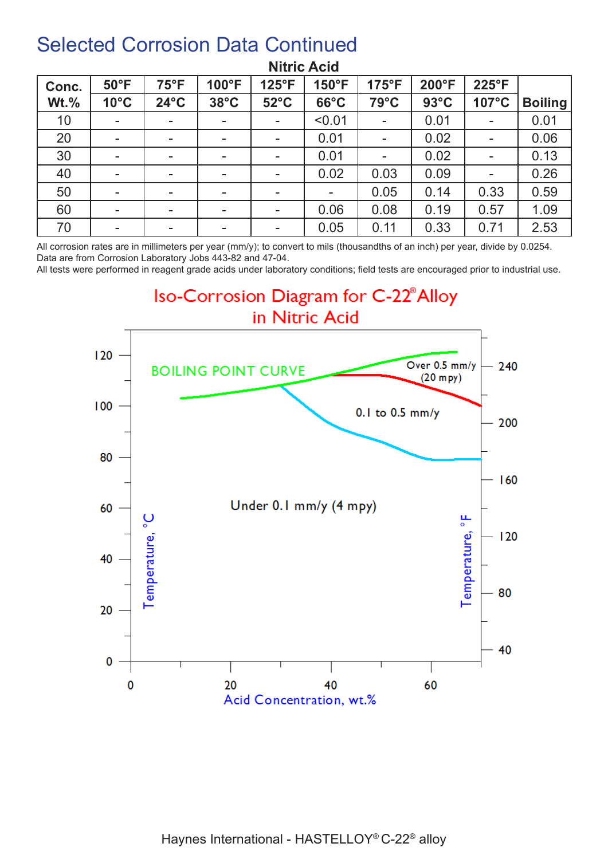| Conc.   | $50^{\circ}$ F | $75^{\circ}F$            | 100°F                    | $125^{\circ}F$ | 150°F          | $175^{\circ}F$ | $200^{\circ}F$ | 225°F                    |                |
|---------|----------------|--------------------------|--------------------------|----------------|----------------|----------------|----------------|--------------------------|----------------|
| $Wt.\%$ | $10^{\circ}$ C | $24^{\circ}$ C           | $38^{\circ}$ C           | $52^{\circ}$ C | $66^{\circ}$ C | 79°C           | $93^{\circ}$ C | 107°C                    | <b>Boiling</b> |
| 10      | ۰              | $\,$                     |                          |                | < 0.01         | $\blacksquare$ | 0.01           | ۰                        | 0.01           |
| 20      | ۰              | $\overline{\phantom{0}}$ |                          |                | 0.01           | $\blacksquare$ | 0.02           | $\overline{\phantom{a}}$ | 0.06           |
| 30      | ۰              | $\,$                     |                          |                | 0.01           | $\blacksquare$ | 0.02           | ۰                        | 0.13           |
| 40      | $\blacksquare$ | $\overline{\phantom{a}}$ | $\overline{\phantom{a}}$ |                | 0.02           | 0.03           | 0.09           | $\blacksquare$           | 0.26           |
| 50      | $\blacksquare$ | $\overline{\phantom{a}}$ |                          |                |                | 0.05           | 0.14           | 0.33                     | 0.59           |
| 60      | $\blacksquare$ | $\overline{\phantom{a}}$ | $\overline{\phantom{a}}$ |                | 0.06           | 0.08           | 0.19           | 0.57                     | 1.09           |
| 70      | $\blacksquare$ | $\overline{\phantom{a}}$ | $\overline{\phantom{a}}$ | $\blacksquare$ | 0.05           | 0.11           | 0.33           | 0.71                     | 2.53           |

#### **Nitric Acid**

All corrosion rates are in millimeters per year (mm/y); to convert to mils (thousandths of an inch) per year, divide by 0.0254. Data are from Corrosion Laboratory Jobs 443-82 and 47-04.

All tests were performed in reagent grade acids under laboratory conditions; field tests are encouraged prior to industrial use.

**Iso-Corrosion Diagram for C-22<sup>®</sup> Alloy** in Nitric Acid

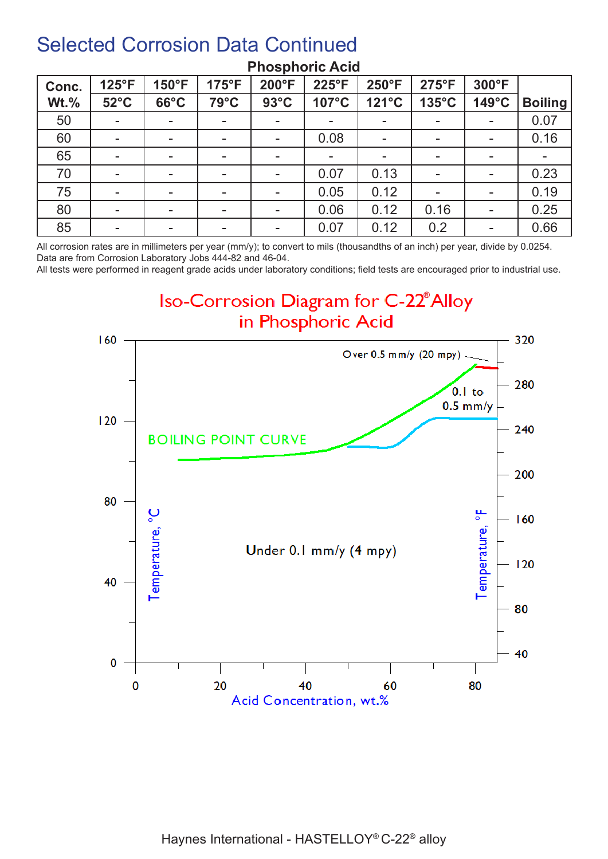| Conc.   | 125°F          | $150^{\circ}F$           | $175^{\circ}F$ | 200°F          | 225°F | 250°F                    | $275^{\circ}F$ | 300°F                    |                |
|---------|----------------|--------------------------|----------------|----------------|-------|--------------------------|----------------|--------------------------|----------------|
| $Wt.\%$ | $52^{\circ}$ C | $66^{\circ}$ C           | 79°C           | $93^{\circ}$ C | 107°C | 121°C                    | 135°C          | $149^{\circ}$ C          | <b>Boiling</b> |
| 50      | $\blacksquare$ | ۰                        |                |                |       |                          |                | $\overline{\phantom{a}}$ | 0.07           |
| 60      | $\blacksquare$ | $\overline{\phantom{a}}$ | -              |                | 0.08  | $\blacksquare$           |                | ۰                        | 0.16           |
| 65      | $\blacksquare$ | $\overline{\phantom{a}}$ | -              |                | -     | $\overline{\phantom{a}}$ |                | -                        |                |
| 70      | ۰              | $\sim$                   | -              |                | 0.07  | 0.13                     |                | $\blacksquare$           | 0.23           |
| 75      | $\blacksquare$ | $\overline{\phantom{a}}$ | ۰.             |                | 0.05  | 0.12                     |                | $\overline{\phantom{a}}$ | 0.19           |
| 80      | ۰              | $\,$                     |                |                | 0.06  | 0.12                     | 0.16           | ۰                        | 0.25           |
| 85      | ۰              | ۰                        | ۰.             |                | 0.07  | 0.12                     | 0.2            | $\sim$                   | 0.66           |

#### **Phosphoric Acid**

All corrosion rates are in millimeters per year (mm/y); to convert to mils (thousandths of an inch) per year, divide by 0.0254. Data are from Corrosion Laboratory Jobs 444-82 and 46-04.

All tests were performed in reagent grade acids under laboratory conditions; field tests are encouraged prior to industrial use.

**Iso-Corrosion Diagram for C-22<sup>®</sup> Alloy** in Phosphoric Acid

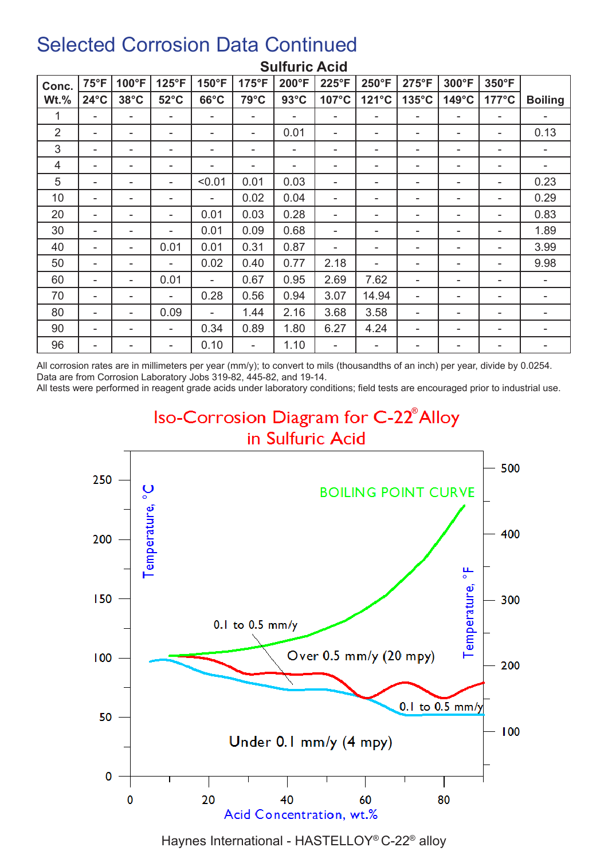| Conc.          | $75^{\circ}F$  | 100°F          | 125°F          | 150°F          | $175^{\circ}F$ | 200°F          | 225°F | 250°F | 275°F                    | 300°F | 350°F                    |                |
|----------------|----------------|----------------|----------------|----------------|----------------|----------------|-------|-------|--------------------------|-------|--------------------------|----------------|
| $Wt.\%$        | $24^{\circ}$ C | $38^{\circ}$ C | $52^{\circ}$ C | $66^{\circ}$ C | $79^{\circ}$ C | $93^{\circ}$ C | 107°C | 121°C | $135^{\circ}$ C          | 149°C | $177^{\circ}$ C          | <b>Boiling</b> |
| 1              | ۰              |                | ۰              |                | ۰              |                |       | ۰     | -                        | ۰     |                          | ۰              |
| $\overline{2}$ | ۰              | ۰              | ۰              | ۰              | ۰              | 0.01           |       | ۰     | ۰                        | -     | ٠                        | 0.13           |
| 3              | ۰              | ۰              | ۰              | ۰              | ۰              | ۰              |       | ۰     | -                        |       | ٠                        |                |
| 4              | ۰              |                | ۰              | ۰              | ۰              | ۰              |       | ۰     | -                        | -     | ٠                        |                |
| 5              | ۰              | ۰              |                | < 0.01         | 0.01           | 0.03           |       | ۰     | -                        |       | ٠                        | 0.23           |
| 10             | ۰              | ۰              | ۰              |                | 0.02           | 0.04           |       | ۰     |                          |       | ۰                        | 0.29           |
| 20             | ۰              |                | ۰              | 0.01           | 0.03           | 0.28           |       | ۰     |                          | -     |                          | 0.83           |
| 30             | ۰              |                | ۰              | 0.01           | 0.09           | 0.68           |       | ۰     |                          |       |                          | 1.89           |
| 40             | ۰              | ۰              | 0.01           | 0.01           | 0.31           | 0.87           |       | ۰     | -                        |       | ٠                        | 3.99           |
| 50             | ۰              | ۰              | ۰              | 0.02           | 0.40           | 0.77           | 2.18  | ۰     | -                        |       | ٠                        | 9.98           |
| 60             | ۰              | ۰              | 0.01           |                | 0.67           | 0.95           | 2.69  | 7.62  |                          |       |                          |                |
| 70             | ٠              | ۰              |                | 0.28           | 0.56           | 0.94           | 3.07  | 14.94 | Ξ.                       |       |                          |                |
| 80             | ۰              | ۰              | 0.09           | $\blacksquare$ | 1.44           | 2.16           | 3.68  | 3.58  | $\overline{\phantom{a}}$ | ۰     | $\overline{\phantom{a}}$ | -              |
| 90             | ۰              |                | ۰              | 0.34           | 0.89           | 1.80           | 6.27  | 4.24  |                          | ۰     | ٠                        | ۰              |
| 96             | ۰              |                | ۰              | 0.10           | ۰              | 1.10           |       | ۰     | -                        |       |                          | ۰              |

#### **Sulfuric Acid**

All corrosion rates are in millimeters per year (mm/y); to convert to mils (thousandths of an inch) per year, divide by 0.0254. Data are from Corrosion Laboratory Jobs 319-82, 445-82, and 19-14.

All tests were performed in reagent grade acids under laboratory conditions; field tests are encouraged prior to industrial use.

#### **Iso-Corrosion Diagram for C-22<sup>®</sup> Alloy** in Sulfuric Acid



Haynes International - HASTELLOY® C-22® alloy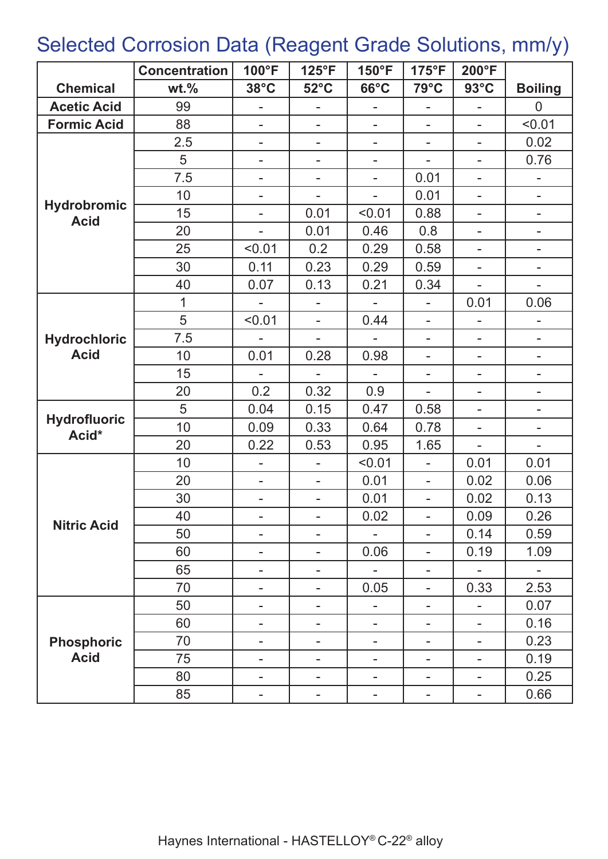# Selected Corrosion Data (Reagent Grade Solutions, mm/y)

|                                   | <b>Concentration</b> | 100°F                    | 125°F                    | 150°F                    | $175^{\circ}F$               | 200°F                    |                          |
|-----------------------------------|----------------------|--------------------------|--------------------------|--------------------------|------------------------------|--------------------------|--------------------------|
| <b>Chemical</b>                   | $wt.$ %              | $38^{\circ}$ C           | $52^{\circ}$ C           | $66^{\circ}$ C           | $79^{\circ}$ C               | $93^{\circ}$ C           | <b>Boiling</b>           |
| <b>Acetic Acid</b>                | 99                   |                          |                          |                          | ÷,                           |                          | $\overline{0}$           |
| <b>Formic Acid</b>                | 88                   | $\overline{a}$           | $\overline{a}$           | $\overline{a}$           | $\overline{a}$               | L,                       | < 0.01                   |
|                                   | 2.5                  | ÷,                       | $\overline{\phantom{0}}$ | L,                       | ÷,                           | L,                       | 0.02                     |
|                                   | 5                    | $\overline{\phantom{0}}$ | $\overline{\phantom{0}}$ | $\overline{\phantom{0}}$ | ÷,                           | $\overline{a}$           | 0.76                     |
|                                   | 7.5                  | $\overline{a}$           | $\overline{a}$           | L,                       | 0.01                         | $\overline{\phantom{0}}$ |                          |
|                                   | 10                   | $\overline{\phantom{0}}$ | Ξ.                       | $\overline{\phantom{0}}$ | 0.01                         | $\overline{\phantom{0}}$ | $\overline{\phantom{0}}$ |
| <b>Hydrobromic</b><br><b>Acid</b> | 15                   | $\overline{\phantom{0}}$ | 0.01                     | < 0.01                   | 0.88                         | ۰                        | $\overline{\phantom{0}}$ |
|                                   | 20                   | $\overline{a}$           | 0.01                     | 0.46                     | 0.8                          | ۰                        | ۰                        |
|                                   | 25                   | < 0.01                   | 0.2                      | 0.29                     | 0.58                         | $\overline{\phantom{0}}$ |                          |
|                                   | 30                   | 0.11                     | 0.23                     | 0.29                     | 0.59                         |                          |                          |
|                                   | 40                   | 0.07                     | 0.13                     | 0.21                     | 0.34                         |                          |                          |
|                                   | 1                    | $\overline{a}$           | $\overline{a}$           |                          | L,                           | 0.01                     | 0.06                     |
|                                   | 5                    | < 0.01                   | $\blacksquare$           | 0.44                     | $\overline{a}$               |                          |                          |
| <b>Hydrochloric</b>               | 7.5                  |                          | ÷,                       |                          | $\overline{\phantom{a}}$     | ÷,                       | -                        |
| <b>Acid</b>                       | 10                   | 0.01                     | 0.28                     | 0.98                     | $\overline{\phantom{a}}$     | $\overline{\phantom{0}}$ | -                        |
|                                   | 15                   |                          |                          | $\overline{a}$           | $\overline{\phantom{a}}$     | -                        | Ξ.                       |
|                                   | 20                   | 0.2                      | 0.32                     | 0.9                      | $\overline{a}$               | ۰                        | -                        |
|                                   | 5                    | 0.04                     | 0.15                     | 0.47                     | 0.58                         | $\overline{a}$           | -                        |
| <b>Hydrofluoric</b><br>Acid*      | 10                   | 0.09                     | 0.33                     | 0.64                     | 0.78                         | $\overline{a}$           |                          |
|                                   | 20                   | 0.22                     | 0.53                     | 0.95                     | 1.65                         |                          |                          |
|                                   | 10                   | $\overline{a}$           | $\overline{a}$           | < 0.01                   | ÷,                           | 0.01                     | 0.01                     |
|                                   | 20                   | $\overline{\phantom{0}}$ | $\overline{\phantom{0}}$ | 0.01                     | $\overline{\phantom{a}}$     | 0.02                     | 0.06                     |
|                                   | 30                   | $\overline{\phantom{0}}$ | $\overline{a}$           | 0.01                     | $\overline{\phantom{a}}$     | 0.02                     | 0.13                     |
|                                   | 40                   |                          |                          | 0.02                     |                              | 0.09                     | 0.26                     |
| <b>Nitric Acid</b>                | 50                   | $\overline{\phantom{a}}$ | $\overline{\phantom{0}}$ |                          | $\overline{a}$               | 0.14                     | 0.59                     |
|                                   | 60                   | $\overline{a}$           | $\overline{a}$           | 0.06                     | ÷,                           | 0.19                     | 1.09                     |
|                                   | 65                   | $\overline{\phantom{0}}$ | $\overline{\phantom{0}}$ | $\overline{a}$           | $\overline{\phantom{a}}$     | $\blacksquare$           |                          |
|                                   | 70                   | $\overline{\phantom{0}}$ | Ξ.                       | 0.05                     | $\qquad \qquad \blacksquare$ | 0.33                     | 2.53                     |
|                                   | 50                   | $\overline{\phantom{0}}$ | ۰                        | -                        | $\overline{\phantom{0}}$     | $\overline{\phantom{0}}$ | 0.07                     |
|                                   | 60                   | -                        | ۰                        | $\overline{\phantom{0}}$ | $\overline{a}$               | -                        | 0.16                     |
| <b>Phosphoric</b>                 | 70                   | -                        | ۰                        | ۰                        | -                            | -                        | 0.23                     |
| <b>Acid</b>                       | 75                   | -                        | $\overline{\phantom{0}}$ | -                        |                              |                          | 0.19                     |
|                                   | 80                   |                          |                          |                          |                              |                          | 0.25                     |
|                                   | 85                   |                          | ۰                        | -                        | $\overline{\phantom{0}}$     | ۰                        | 0.66                     |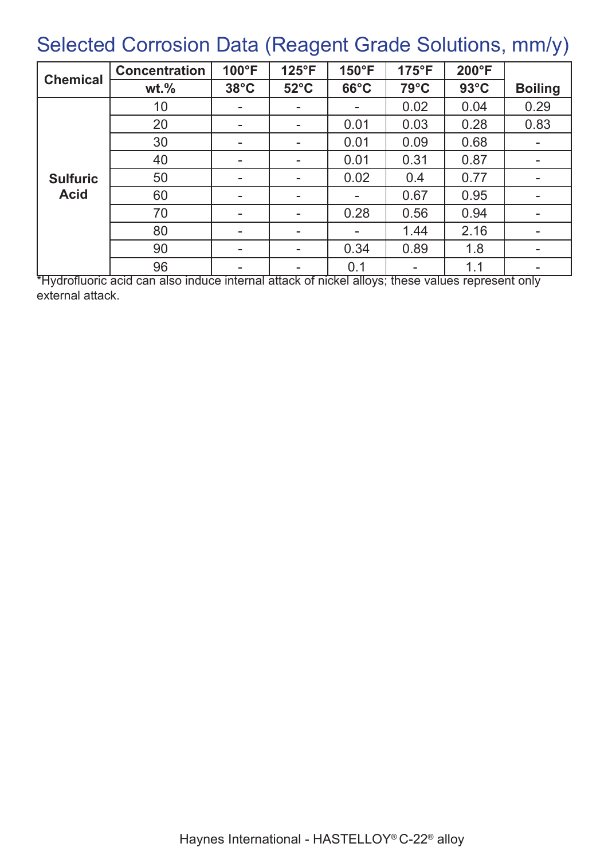# Selected Corrosion Data (Reagent Grade Solutions, mm/y)

|                 | <b>Concentration</b> | 100°F                    | $125^{\circ}F$           | 150°F          | $175^{\circ}F$ | 200°F          |                          |
|-----------------|----------------------|--------------------------|--------------------------|----------------|----------------|----------------|--------------------------|
| <b>Chemical</b> | $wt.$ %              | $38^{\circ}$ C           | $52^{\circ}$ C           | $66^{\circ}$ C | 79°C           | $93^{\circ}$ C | <b>Boiling</b>           |
|                 | 10                   |                          | $\overline{\phantom{a}}$ |                | 0.02           | 0.04           | 0.29                     |
|                 | 20                   |                          | $\overline{\phantom{a}}$ | 0.01           | 0.03           | 0.28           | 0.83                     |
|                 | 30                   | ۰.                       | $\overline{\phantom{a}}$ | 0.01           | 0.09           | 0.68           |                          |
|                 | 40                   | ۰.                       | ۰.                       | 0.01           | 0.31           | 0.87           |                          |
| <b>Sulfuric</b> | 50                   | $\overline{\phantom{a}}$ | $\blacksquare$           | 0.02           | 0.4            | 0.77           | $\overline{\phantom{a}}$ |
| <b>Acid</b>     | 60                   | ۰.                       | $\overline{\phantom{a}}$ |                | 0.67           | 0.95           | $\blacksquare$           |
|                 | 70                   | $\overline{\phantom{a}}$ | $\overline{\phantom{a}}$ | 0.28           | 0.56           | 0.94           |                          |
|                 | 80                   | -                        | $\overline{\phantom{a}}$ |                | 1.44           | 2.16           |                          |
|                 | 90                   | $\overline{\phantom{a}}$ | $\overline{\phantom{a}}$ | 0.34           | 0.89           | 1.8            |                          |
|                 | 96                   | $\blacksquare$           | $\overline{\phantom{a}}$ | 0.1            |                | 1.1            |                          |

\*Hydrofluoric acid can also induce internal attack of nickel alloys; these values represent only external attack.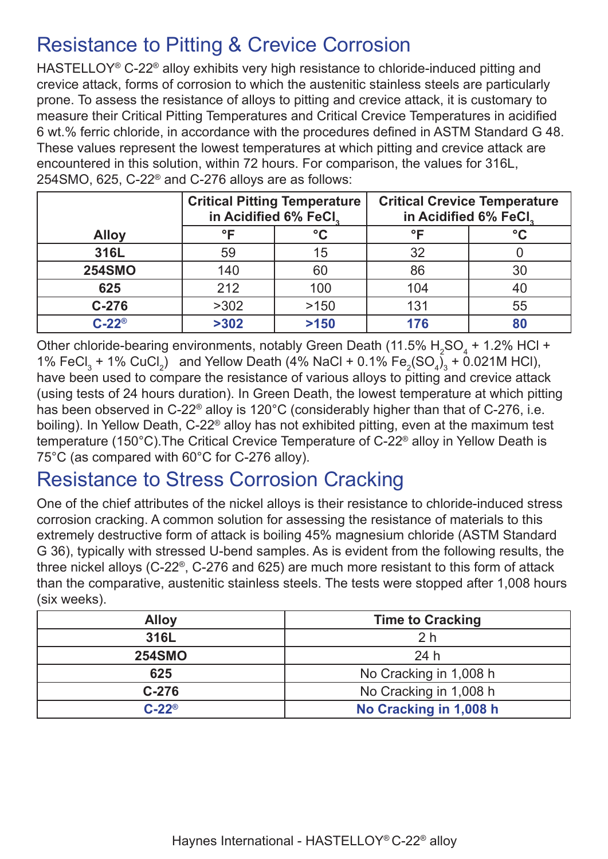### Resistance to Pitting & Crevice Corrosion

HASTELLOY<sup>®</sup> C-22<sup>®</sup> alloy exhibits very high resistance to chloride-induced pitting and crevice attack, forms of corrosion to which the austenitic stainless steels are particularly prone. To assess the resistance of alloys to pitting and crevice attack, it is customary to measure their Critical Pitting Temperatures and Critical Crevice Temperatures in acidified 6 wt.% ferric chloride, in accordance with the procedures defined in ASTM Standard G 48. These values represent the lowest temperatures at which pitting and crevice attack are encountered in this solution, within 72 hours. For comparison, the values for 316L, 254SMO, 625, C-22® and C-276 alloys are as follows:

|               | in Acidified 6% FeCl, | <b>Critical Pitting Temperature</b> | <b>Critical Crevice Temperature</b><br>in Acidified 6% FeCl. |              |  |
|---------------|-----------------------|-------------------------------------|--------------------------------------------------------------|--------------|--|
| <b>Alloy</b>  | ∘г                    | °C                                  | °F                                                           | $^{\circ}$ C |  |
| 316L          | 59                    | 15                                  | 32                                                           |              |  |
| <b>254SMO</b> | 140                   | 60                                  | 86                                                           | 30           |  |
| 625           | 212                   | 100                                 | 104                                                          |              |  |
| $C-276$       | >302                  | >150                                | 131                                                          | 55           |  |
| $C-22^\circ$  | >302                  | >150                                | 176                                                          |              |  |

Other chloride-bearing environments, notably Green Death (11.5%  $\rm H_2SO_4$  + 1.2% HCl + 1% FeCl<sub>3</sub> + 1% CuCl<sub>2</sub>) and Yellow Death (4% NaCl + 0.1% Fe<sub>2</sub>(SO<sub>4</sub>)<sub>3</sub> + 0.021M HCl), have been used to compare the resistance of various alloys to pitting and crevice attack (using tests of 24 hours duration). In Green Death, the lowest temperature at which pitting has been observed in C-22<sup>®</sup> alloy is 120°C (considerably higher than that of C-276, i.e. boiling). In Yellow Death, C-22® alloy has not exhibited pitting, even at the maximum test temperature (150°C).The Critical Crevice Temperature of C-22® alloy in Yellow Death is 75°C (as compared with 60°C for C-276 alloy).

# Resistance to Stress Corrosion Cracking

One of the chief attributes of the nickel alloys is their resistance to chloride-induced stress corrosion cracking. A common solution for assessing the resistance of materials to this extremely destructive form of attack is boiling 45% magnesium chloride (ASTM Standard G 36), typically with stressed U-bend samples. As is evident from the following results, the three nickel alloys (C-22®, C-276 and 625) are much more resistant to this form of attack than the comparative, austenitic stainless steels. The tests were stopped after 1,008 hours (six weeks).

| <b>Alloy</b>  | <b>Time to Cracking</b> |  |  |  |  |
|---------------|-------------------------|--|--|--|--|
| 316L          | 2 <sub>h</sub>          |  |  |  |  |
| <b>254SMO</b> | 24h                     |  |  |  |  |
| 625           | No Cracking in 1,008 h  |  |  |  |  |
| $C-276$       | No Cracking in 1,008 h  |  |  |  |  |
| $C-22^\circ$  | No Cracking in 1,008 h  |  |  |  |  |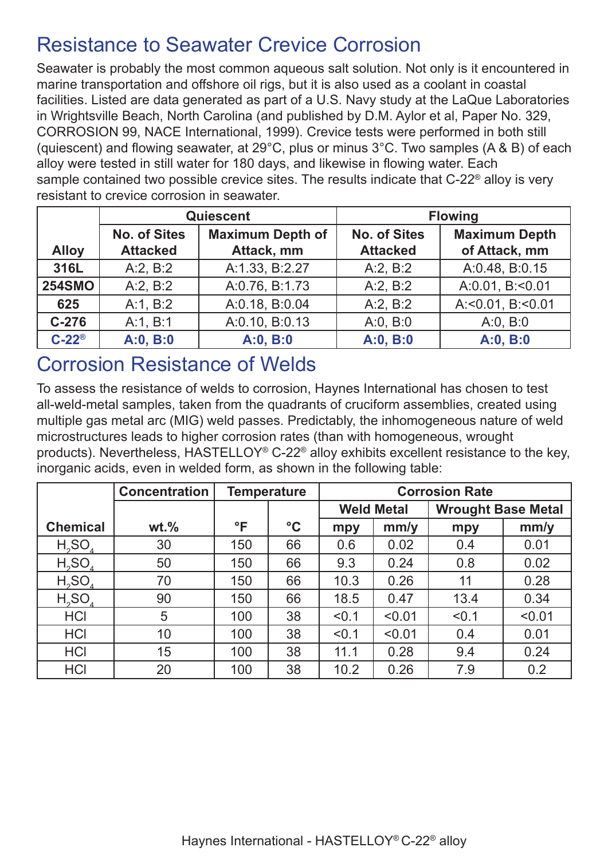### Resistance to Seawater Crevice Corrosion

Seawater is probably the most common aqueous salt solution. Not only is it encountered in marine transportation and offshore oil rigs, but it is also used as a coolant in coastal facilities. Listed are data generated as part of a U.S. Navy study at the LaQue Laboratories in Wrightsville Beach, North Carolina (and published by D.M. Aylor et al, Paper No. 329, CORROSION 99, NACE International, 1999). Crevice tests were performed in both still (quiescent) and flowing seawater, at 29°C, plus or minus 3°C. Two samples (A & B) of each alloy were tested in still water for 180 days, and likewise in flowing water. Each sample contained two possible crevice sites. The results indicate that C-22® alloy is very resistant to crevice corrosion in seawater.

|                       |                     | Quiescent               | <b>Flowing</b>      |                      |  |  |
|-----------------------|---------------------|-------------------------|---------------------|----------------------|--|--|
|                       | <b>No. of Sites</b> | <b>Maximum Depth of</b> | <b>No. of Sites</b> | <b>Maximum Depth</b> |  |  |
| <b>Alloy</b>          | <b>Attacked</b>     | Attack, mm              | <b>Attacked</b>     | of Attack, mm        |  |  |
| 316L                  | A:2, B:2            | A:1.33, B:2.27          | A:2, B:2            | A:0.48, B:0.15       |  |  |
| <b>254SMO</b>         | A:2, B:2            | A:0.76, B:1.73          | A:2, B:2            | A:0.01, B:<0.01      |  |  |
| 625                   | A:1, B:2            | A:0.18, B:0.04          | A:2, B:2            | A: < 0.01, B: < 0.01 |  |  |
| $C-276$               | A:1, B:1            | A:0.10, B:0.13          | A:0, B:0            | A:0, B:0             |  |  |
| $C-22^{\circledcirc}$ | A:0, B:0            | A:0, B:0                | A:0, B:0            | A:0, B:0             |  |  |

#### Corrosion Resistance of Welds

To assess the resistance of welds to corrosion, Haynes International has chosen to test all-weld-metal samples, taken from the quadrants of cruciform assemblies, created using multiple gas metal arc (MIG) weld passes. Predictably, the inhomogeneous nature of weld microstructures leads to higher corrosion rates (than with homogeneous, wrought products). Nevertheless, HASTELLOY® C-22® alloy exhibits excellent resistance to the key, inorganic acids, even in welded form, as shown in the following table:

|                                | <b>Concentration</b> | <b>Temperature</b> |                 | <b>Corrosion Rate</b> |                   |                           |        |
|--------------------------------|----------------------|--------------------|-----------------|-----------------------|-------------------|---------------------------|--------|
|                                |                      |                    |                 |                       | <b>Weld Metal</b> | <b>Wrought Base Metal</b> |        |
| <b>Chemical</b>                | $wt.$ %              | °F                 | $\rm ^{\circ}C$ | mpy                   | mm/y              | mpy                       | mm/y   |
| $H_2SO_4$                      | 30                   | 150                | 66              | 0.6                   | 0.02              | 0.4                       | 0.01   |
| H <sub>2</sub> SO <sub>4</sub> | 50                   | 150                | 66              | 9.3                   | 0.24              | 0.8                       | 0.02   |
| $H_2SO_4$                      | 70                   | 150                | 66              | 10.3                  | 0.26              | 11                        | 0.28   |
| $H_2SO_4$                      | 90                   | 150                | 66              | 18.5                  | 0.47              | 13.4                      | 0.34   |
| <b>HCI</b>                     | 5                    | 100                | 38              | < 0.1                 | < 0.01            | < 0.1                     | < 0.01 |
| <b>HCI</b>                     | 10                   | 100                | 38              | < 0.1                 | < 0.01            | 0.4                       | 0.01   |
| <b>HCI</b>                     | 15                   | 100                | 38              | 11.1                  | 0.28              | 9.4                       | 0.24   |
| <b>HCI</b>                     | 20                   | 100                | 38              | 10.2                  | 0.26              | 7.9                       | 0.2    |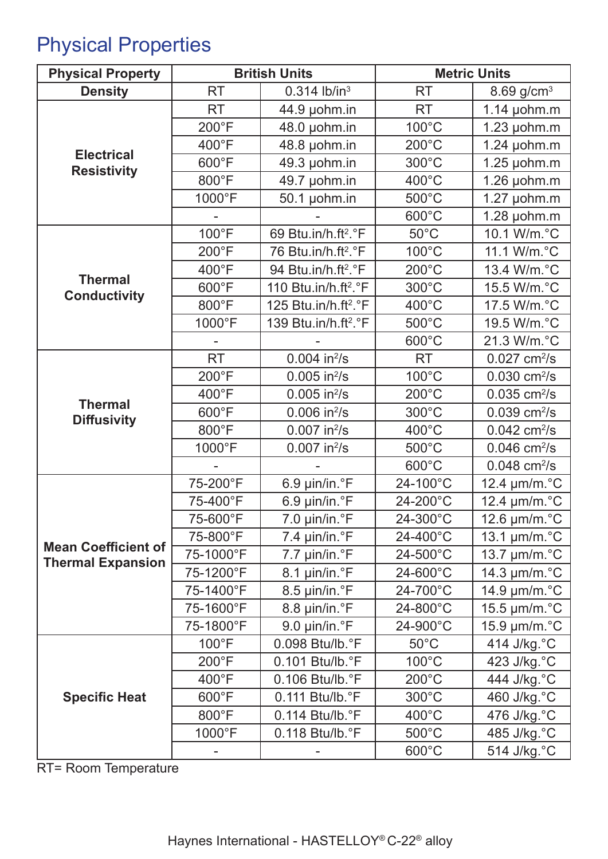# Physical Properties

| <b>Physical Property</b>                | <b>British Units</b> |                                      | <b>Metric Units</b> |                             |
|-----------------------------------------|----------------------|--------------------------------------|---------------------|-----------------------------|
| <b>Density</b>                          | <b>RT</b>            | $0.314$ lb/in <sup>3</sup>           | <b>RT</b>           | 8.69 $g/cm^{3}$             |
|                                         | <b>RT</b>            | 44.9 µohm.in                         | <b>RT</b>           | $1.14$ µohm.m               |
|                                         | 200°F                | 48.0 µohm.in                         | 100°C               | $1.23$ µohm.m               |
|                                         | 400°F                | 48.8 µohm.in                         | $200^{\circ}$ C     | $1.24$ µohm.m               |
| <b>Electrical</b><br><b>Resistivity</b> | 600°F                | 49.3 µohm.in                         | 300°C               | $1.25$ µohm.m               |
|                                         | 800°F                | 49.7 µohm.in                         | 400°C               | $1.26$ µohm.m               |
|                                         | 1000°F               | 50.1 µohm.in                         | 500°C               | $1.27$ µohm.m               |
|                                         |                      |                                      | 600°C               | $1.28$ µohm.m               |
|                                         | 100°F                | 69 Btu.in/h.ft <sup>2</sup> .°F      | $50^{\circ}$ C      | 10.1 W/m.°C                 |
|                                         | 200°F                | 76 Btu.in/h.ft <sup>2</sup> .°F      | 100°C               | 11.1 W/m.°C                 |
|                                         | 400°F                | 94 Btu.in/h.ft <sup>2</sup> .°F      | $200^{\circ}$ C     | 13.4 W/m.°C                 |
| <b>Thermal</b><br><b>Conductivity</b>   | 600°F                | 110 Btu.in/h.ft <sup>2</sup> .°F     | 300°C               | 15.5 W/m.°C                 |
|                                         | 800°F                | 125 Btu.in/h.ft <sup>2</sup> .°F     | 400°C               | 17.5 W/m.°C                 |
|                                         | 1000°F               | 139 Btu.in/h.ft <sup>2</sup> .°F     | 500°C               | 19.5 W/m.°C                 |
|                                         |                      |                                      | 600°C               | 21.3 W/m.°C                 |
|                                         | <b>RT</b>            | $0.004$ in <sup>2</sup> /s           | <b>RT</b>           | $0.027$ cm <sup>2</sup> /s  |
|                                         | 200°F                | $0.005$ in <sup>2</sup> /s           | 100°C               | $0.030$ cm <sup>2</sup> /s  |
|                                         | 400°F                | $0.005$ in $^{2}/s$                  | $200^{\circ}$ C     | $0.035$ cm <sup>2</sup> /s  |
| <b>Thermal</b><br><b>Diffusivity</b>    | 600°F                | $0.006$ in $^{2}/s$                  | 300°C               | $0.039$ cm <sup>2</sup> /s  |
|                                         | 800°F                | $0.007$ in <sup>2</sup> /s           | 400°C               | $0.042$ cm <sup>2</sup> /s  |
|                                         | 1000°F               | $0.007$ in <sup>2</sup> /s           | 500°C               | $0.046$ cm <sup>2</sup> /s  |
|                                         |                      |                                      | 600°C               | $0.048$ cm <sup>2</sup> /s  |
|                                         | 75-200°F             | 6.9 µin/in.°F                        | 24-100°C            | 12.4 µm/m.°C                |
|                                         | 75-400°F             | 6.9 µin/in.°F<br>24-200°C            |                     | 12.4 µm/m.°C                |
|                                         | 75-600°F             | 7.0 µin/in.°F<br>24-300°C            |                     | 12.6 $\mu$ m/m. $\degree$ C |
| <b>Mean Coefficient of</b>              | 75-800°F             | 7.4 $\mu$ in/in. $\degree$ F         | 24-400°C            | 13.1 $\mu$ m/m. $\degree$ C |
| <b>Thermal Expansion</b>                | 75-1000°F            | 7.7 µin/in.°F                        | 24-500°C            | 13.7 $\mu$ m/m. $\degree$ C |
|                                         | 75-1200°F            | 8.1 µin/in.°F                        | 24-600°C            | 14.3 µm/m.°C                |
|                                         | 75-1400°F            | 8.5 µin/in.°F                        | 24-700°C            | 14.9 µm/m.°C                |
|                                         | 75-1600°F            | 8.8 µin/in.°F                        | 24-800°C            | 15.5 µm/m.°C                |
|                                         | 75-1800°F            | 9.0 µin/in.°F                        | 24-900°C            | 15.9 µm/m.°C                |
|                                         | $100^{\circ}F$       | 0.098 Btu/lb.°F                      | $50^{\circ}$ C      | 414 J/kg. °C                |
|                                         | $200^{\circ}F$       | 0.101 Btu/lb.°F                      | $100^{\circ}$ C     | 423 J/kg.°C                 |
|                                         | 400°F                | 0.106 Btu/lb.°F                      | $200^{\circ}$ C     | 444 J/kg. °C                |
| <b>Specific Heat</b>                    | 600°F                | 0.111 Btu/lb.°F                      | 300°C               | 460 J/kg.°C                 |
|                                         | 800°F                | 400°C<br>$0.114$ Btu/lb. $\degree$ F |                     | 476 J/kg.°C                 |
|                                         | 1000°F               | $0.118$ Btu/lb. $\degree$ F          | $500^{\circ}$ C     | 485 J/kg.°C                 |
|                                         |                      |                                      | $600^{\circ}$ C     | 514 J/kg. °C                |

RT= Room Temperature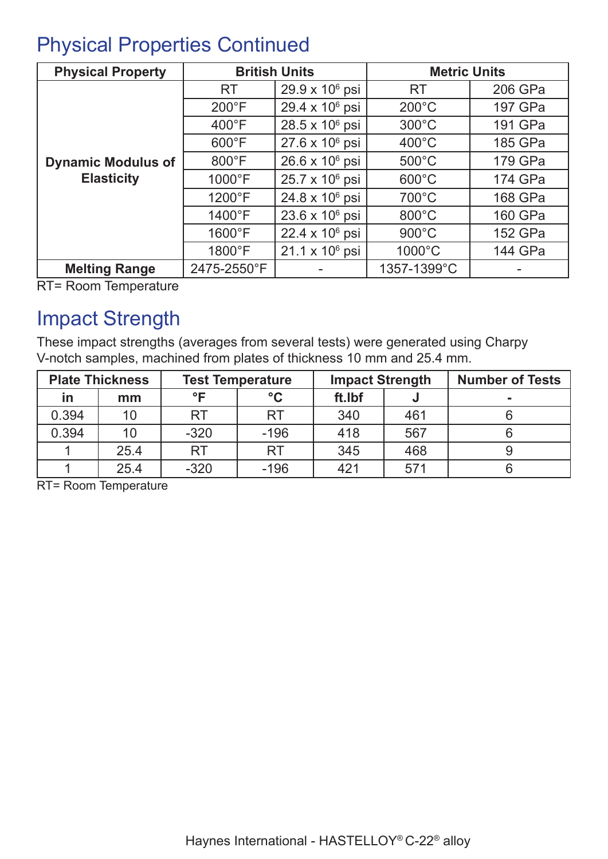### Physical Properties Continued

| <b>Physical Property</b>                       |                  | <b>British Units</b>       | <b>Metric Units</b> |         |  |
|------------------------------------------------|------------------|----------------------------|---------------------|---------|--|
|                                                | <b>RT</b>        | $29.9 \times 10^6$ psi     | <b>RT</b>           | 206 GPa |  |
|                                                | $200^{\circ}$ F  | 29.4 x 10 <sup>6</sup> psi | $200^{\circ}$ C     | 197 GPa |  |
| <b>Dynamic Modulus of</b><br><b>Elasticity</b> | $400^{\circ}$ F  | $28.5 \times 10^6$ psi     | $300^{\circ}$ C     | 191 GPa |  |
|                                                | $600^{\circ}$ F  | $27.6 \times 10^6$ psi     | $400^{\circ}$ C     | 185 GPa |  |
|                                                | $800^{\circ}$ F  | $26.6 \times 10^6$ psi     | $500^{\circ}$ C     | 179 GPa |  |
|                                                | $1000^{\circ}F$  | $25.7 \times 10^6$ psi     | $600^{\circ}$ C     | 174 GPa |  |
|                                                | $1200^{\circ}F$  | $24.8 \times 10^6$ psi     | $700^{\circ}$ C     | 168 GPa |  |
|                                                | $1400^{\circ}F$  | $23.6 \times 10^6$ psi     | $800^{\circ}$ C     | 160 GPa |  |
|                                                | $1600^{\circ}$ F | $22.4 \times 10^6$ psi     | $900^{\circ}$ C     | 152 GPa |  |
|                                                | 1800°F           | $21.1 \times 10^6$ psi     | $1000^{\circ}$ C    | 144 GPa |  |
| <b>Melting Range</b>                           | 2475-2550°F      |                            | 1357-1399°C         |         |  |

RT= Room Temperature

### Impact Strength

These impact strengths (averages from several tests) were generated using Charpy V-notch samples, machined from plates of thickness 10 mm and 25.4 mm.

| <b>Plate Thickness</b><br><b>Test Temperature</b> |      |           | <b>Impact Strength</b> |        | <b>Number of Tests</b> |  |
|---------------------------------------------------|------|-----------|------------------------|--------|------------------------|--|
| in                                                | mm   | $\circ$ F | $\rm ^{\circ}C$        | ft.Ibf |                        |  |
| 0.394                                             |      | RT        | <b>RT</b>              | 340    | 461                    |  |
| 0.394                                             |      | $-320$    | $-196$                 | 418    | 567                    |  |
|                                                   | 25.4 | RT        | <b>RT</b>              | 345    | 468                    |  |
|                                                   | 25.4 | $-320$    | $-196$                 | 421    | 57 <sup>′</sup>        |  |

RT= Room Temperature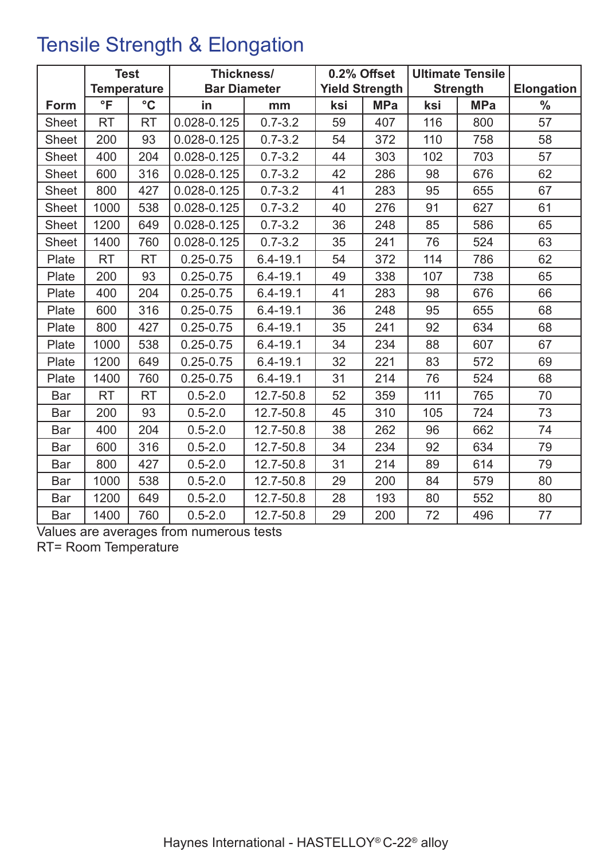# Tensile Strength & Elongation

|              | <b>Test</b>        |                 | Thickness/                                   |              | 0.2% Offset     |            | <b>Ultimate Tensile</b> |            |               |
|--------------|--------------------|-----------------|----------------------------------------------|--------------|-----------------|------------|-------------------------|------------|---------------|
|              | <b>Temperature</b> |                 | <b>Bar Diameter</b><br><b>Yield Strength</b> |              | <b>Strength</b> |            | <b>Elongation</b>       |            |               |
| Form         | $\overline{\ }$    | $\rm ^{\circ}C$ | in                                           | mm           | ksi             | <b>MPa</b> | ksi                     | <b>MPa</b> | $\frac{0}{0}$ |
| Sheet        | <b>RT</b>          | <b>RT</b>       | 0.028-0.125                                  | $0.7 - 3.2$  | 59              | 407        | 116                     | 800        | 57            |
| <b>Sheet</b> | 200                | 93              | 0.028-0.125                                  | $0.7 - 3.2$  | 54              | 372        | 110                     | 758        | 58            |
| <b>Sheet</b> | 400                | 204             | 0.028-0.125                                  | $0.7 - 3.2$  | 44              | 303        | 102                     | 703        | 57            |
| <b>Sheet</b> | 600                | 316             | 0.028-0.125                                  | $0.7 - 3.2$  | 42              | 286        | 98                      | 676        | 62            |
| <b>Sheet</b> | 800                | 427             | 0.028-0.125                                  | $0.7 - 3.2$  | 41              | 283        | 95                      | 655        | 67            |
| <b>Sheet</b> | 1000               | 538             | 0.028-0.125                                  | $0.7 - 3.2$  | 40              | 276        | 91                      | 627        | 61            |
| <b>Sheet</b> | 1200               | 649             | 0.028-0.125                                  | $0.7 - 3.2$  | 36              | 248        | 85                      | 586        | 65            |
| <b>Sheet</b> | 1400               | 760             | 0.028-0.125                                  | $0.7 - 3.2$  | 35              | 241        | 76                      | 524        | 63            |
| Plate        | <b>RT</b>          | <b>RT</b>       | $0.25 - 0.75$                                | $6.4 - 19.1$ | 54              | 372        | 114                     | 786        | 62            |
| Plate        | 200                | 93              | $0.25 - 0.75$                                | $6.4 - 19.1$ | 49              | 338        | 107                     | 738        | 65            |
| Plate        | 400                | 204             | $0.25 - 0.75$                                | $6.4 - 19.1$ | 41              | 283        | 98                      | 676        | 66            |
| Plate        | 600                | 316             | $0.25 - 0.75$                                | $6.4 - 19.1$ | 36              | 248        | 95                      | 655        | 68            |
| Plate        | 800                | 427             | $0.25 - 0.75$                                | $6.4 - 19.1$ | 35              | 241        | 92                      | 634        | 68            |
| Plate        | 1000               | 538             | $0.25 - 0.75$                                | $6.4 - 19.1$ | 34              | 234        | 88                      | 607        | 67            |
| Plate        | 1200               | 649             | $0.25 - 0.75$                                | $6.4 - 19.1$ | 32              | 221        | 83                      | 572        | 69            |
| Plate        | 1400               | 760             | $0.25 - 0.75$                                | $6.4 - 19.1$ | 31              | 214        | 76                      | 524        | 68            |
| Bar          | <b>RT</b>          | <b>RT</b>       | $0.5 - 2.0$                                  | 12.7-50.8    | 52              | 359        | 111                     | 765        | 70            |
| Bar          | 200                | 93              | $0.5 - 2.0$                                  | 12.7-50.8    | 45              | 310        | 105                     | 724        | 73            |
| Bar          | 400                | 204             | $0.5 - 2.0$                                  | 12.7-50.8    | 38              | 262        | 96                      | 662        | 74            |
| Bar          | 600                | 316             | $0.5 - 2.0$                                  | 12.7-50.8    | 34              | 234        | 92                      | 634        | 79            |
| Bar          | 800                | 427             | $0.5 - 2.0$                                  | 12.7-50.8    | 31              | 214        | 89                      | 614        | 79            |
| Bar          | 1000               | 538             | $0.5 - 2.0$                                  | 12.7-50.8    | 29              | 200        | 84                      | 579        | 80            |
| Bar          | 1200               | 649             | $0.5 - 2.0$                                  | 12.7-50.8    | 28              | 193        | 80                      | 552        | 80            |
| Bar          | 1400               | 760             | $0.5 - 2.0$                                  | 12.7-50.8    | 29              | 200        | 72                      | 496        | 77            |

Values are averages from numerous tests

RT= Room Temperature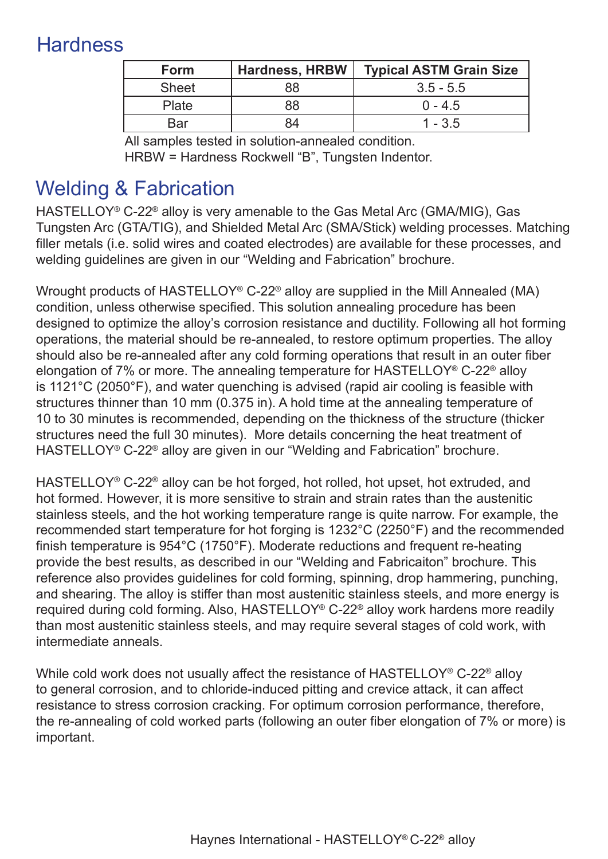# **Hardness**

| <b>Form</b>  | <b>Hardness, HRBW</b> | <b>Typical ASTM Grain Size</b> |
|--------------|-----------------------|--------------------------------|
| <b>Sheet</b> | 88                    | $3.5 - 5.5$                    |
| Plate        |                       | $0 - 4.5$                      |
| Bar          |                       | $1 - 3.5$                      |

All samples tested in solution-annealed condition. HRBW = Hardness Rockwell "B", Tungsten Indentor.

# Welding & Fabrication

HASTELLOY<sup>®</sup> C-22<sup>®</sup> alloy is very amenable to the Gas Metal Arc (GMA/MIG), Gas Tungsten Arc (GTA/TIG), and Shielded Metal Arc (SMA/Stick) welding processes. Matching filler metals (i.e. solid wires and coated electrodes) are available for these processes, and welding guidelines are given in our "Welding and Fabrication" brochure.

Wrought products of HASTELLOY® C-22® alloy are supplied in the Mill Annealed (MA) condition, unless otherwise specified. This solution annealing procedure has been designed to optimize the alloy's corrosion resistance and ductility. Following all hot forming operations, the material should be re-annealed, to restore optimum properties. The alloy should also be re-annealed after any cold forming operations that result in an outer fiber elongation of 7% or more. The annealing temperature for HASTELLOY® C-22® alloy is 1121°C (2050°F), and water quenching is advised (rapid air cooling is feasible with structures thinner than 10 mm (0.375 in). A hold time at the annealing temperature of 10 to 30 minutes is recommended, depending on the thickness of the structure (thicker structures need the full 30 minutes). More details concerning the heat treatment of HASTELLOY<sup>®</sup> C-22<sup>®</sup> alloy are given in our "Welding and Fabrication" brochure.

HASTELLOY® C-22® alloy can be hot forged, hot rolled, hot upset, hot extruded, and hot formed. However, it is more sensitive to strain and strain rates than the austenitic stainless steels, and the hot working temperature range is quite narrow. For example, the recommended start temperature for hot forging is 1232°C (2250°F) and the recommended finish temperature is 954°C (1750°F). Moderate reductions and frequent re-heating provide the best results, as described in our "Welding and Fabricaiton" brochure. This reference also provides guidelines for cold forming, spinning, drop hammering, punching, and shearing. The alloy is stiffer than most austenitic stainless steels, and more energy is required during cold forming. Also, HASTELLOY® C-22® alloy work hardens more readily than most austenitic stainless steels, and may require several stages of cold work, with intermediate anneals.

While cold work does not usually affect the resistance of HASTELLOY<sup>®</sup> C-22<sup>®</sup> alloy to general corrosion, and to chloride-induced pitting and crevice attack, it can affect resistance to stress corrosion cracking. For optimum corrosion performance, therefore, the re-annealing of cold worked parts (following an outer fiber elongation of 7% or more) is important.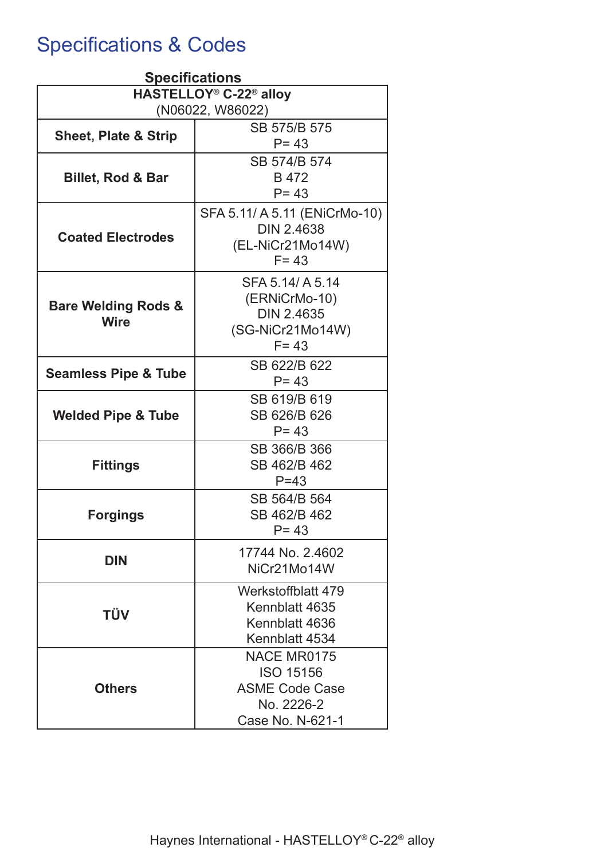# Specifications & Codes

| <b>Specifications</b>                          |                               |  |  |  |  |
|------------------------------------------------|-------------------------------|--|--|--|--|
| HASTELLOY <sup>®</sup> C-22 <sup>®</sup> alloy |                               |  |  |  |  |
| (N06022, W86022)                               |                               |  |  |  |  |
| <b>Sheet, Plate &amp; Strip</b>                | SB 575/B 575                  |  |  |  |  |
|                                                | $P = 43$                      |  |  |  |  |
|                                                | SB 574/B 574                  |  |  |  |  |
| <b>Billet, Rod &amp; Bar</b>                   | B 472                         |  |  |  |  |
|                                                | $P = 43$                      |  |  |  |  |
|                                                | SFA 5.11/ A 5.11 (ENiCrMo-10) |  |  |  |  |
| <b>Coated Electrodes</b>                       | <b>DIN 2.4638</b>             |  |  |  |  |
|                                                | (EL-NiCr21Mo14W)              |  |  |  |  |
|                                                | $F = 43$                      |  |  |  |  |
|                                                | SFA 5.14/ A 5.14              |  |  |  |  |
| <b>Bare Welding Rods &amp;</b>                 | (ERNiCrMo-10)                 |  |  |  |  |
| <b>Wire</b>                                    | <b>DIN 2.4635</b>             |  |  |  |  |
|                                                | (SG-NiCr21Mo14W)              |  |  |  |  |
|                                                | $F = 43$                      |  |  |  |  |
| <b>Seamless Pipe &amp; Tube</b>                | SB 622/B 622                  |  |  |  |  |
|                                                | $P = 43$                      |  |  |  |  |
|                                                | SB 619/B 619                  |  |  |  |  |
| <b>Welded Pipe &amp; Tube</b>                  | SB 626/B 626                  |  |  |  |  |
|                                                | $P = 43$                      |  |  |  |  |
|                                                | SB 366/B 366                  |  |  |  |  |
| <b>Fittings</b>                                | SB 462/B 462                  |  |  |  |  |
|                                                | $P = 43$                      |  |  |  |  |
|                                                | SB 564/B 564<br>SB 462/B 462  |  |  |  |  |
| <b>Forgings</b>                                | $P = 43$                      |  |  |  |  |
|                                                |                               |  |  |  |  |
| <b>DIN</b>                                     | 17744 No. 2.4602              |  |  |  |  |
|                                                | NiCr21Mo14W                   |  |  |  |  |
|                                                | Werkstoffblatt 479            |  |  |  |  |
| <b>TÜV</b>                                     | Kennblatt 4635                |  |  |  |  |
|                                                | Kennblatt 4636                |  |  |  |  |
|                                                | Kennblatt 4534                |  |  |  |  |
|                                                | NACE MR0175                   |  |  |  |  |
|                                                | <b>ISO 15156</b>              |  |  |  |  |
| <b>Others</b>                                  | <b>ASME Code Case</b>         |  |  |  |  |
|                                                | No. 2226-2                    |  |  |  |  |
|                                                | Case No. N-621-1              |  |  |  |  |